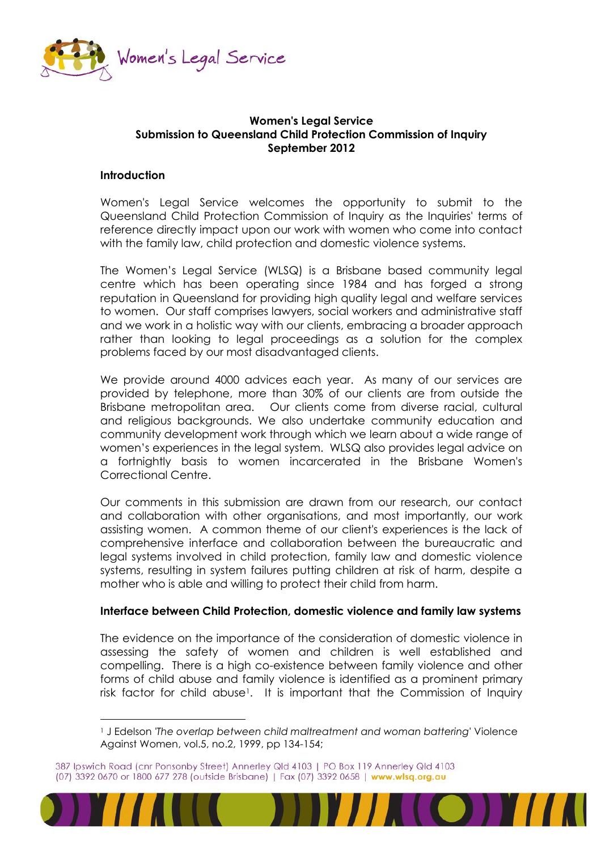

## **Women's Legal Service Submission to Queensland Child Protection Commission of Inquiry September 2012**

## **Introduction**

 $\overline{a}$ 

Women's Legal Service welcomes the opportunity to submit to the Queensland Child Protection Commission of Inquiry as the Inquiries' terms of reference directly impact upon our work with women who come into contact with the family law, child protection and domestic violence systems.

The Women's Legal Service (WLSQ) is a Brisbane based community legal centre which has been operating since 1984 and has forged a strong reputation in Queensland for providing high quality legal and welfare services to women. Our staff comprises lawyers, social workers and administrative staff and we work in a holistic way with our clients, embracing a broader approach rather than looking to legal proceedings as a solution for the complex problems faced by our most disadvantaged clients.

We provide around 4000 advices each year. As many of our services are provided by telephone, more than 30% of our clients are from outside the Brisbane metropolitan area. Our clients come from diverse racial, cultural and religious backgrounds. We also undertake community education and community development work through which we learn about a wide range of women's experiences in the legal system. WLSQ also provides legal advice on a fortnightly basis to women incarcerated in the Brisbane Women's Correctional Centre.

Our comments in this submission are drawn from our research, our contact and collaboration with other organisations, and most importantly, our work assisting women. A common theme of our client's experiences is the lack of comprehensive interface and collaboration between the bureaucratic and legal systems involved in child protection, family law and domestic violence systems, resulting in system failures putting children at risk of harm, despite a mother who is able and willing to protect their child from harm.

#### **Interface between Child Protection, domestic violence and family law systems**

The evidence on the importance of the consideration of domestic violence in assessing the safety of women and children is well established and compelling. There is a high co-existence between family violence and other forms of child abuse and family violence is identified as a prominent primary risk factor for child abuse<sup>1</sup>. It is important that the Commission of Inquiry

<sup>387</sup> Ipswich Road (cnr Ponsonby Street) Annerley Qld 4103 | PO Box 119 Annerley Qld 4103 (07) 3392 0670 or 1800 677 278 (outside Brisbane) | Fax (07) 3392 0658 | www.wlsq.org.au



<sup>1</sup> J Edelson *'The overlap between child maltreatment and woman battering'* Violence Against Women, vol.5, no.2, 1999, pp 134-154;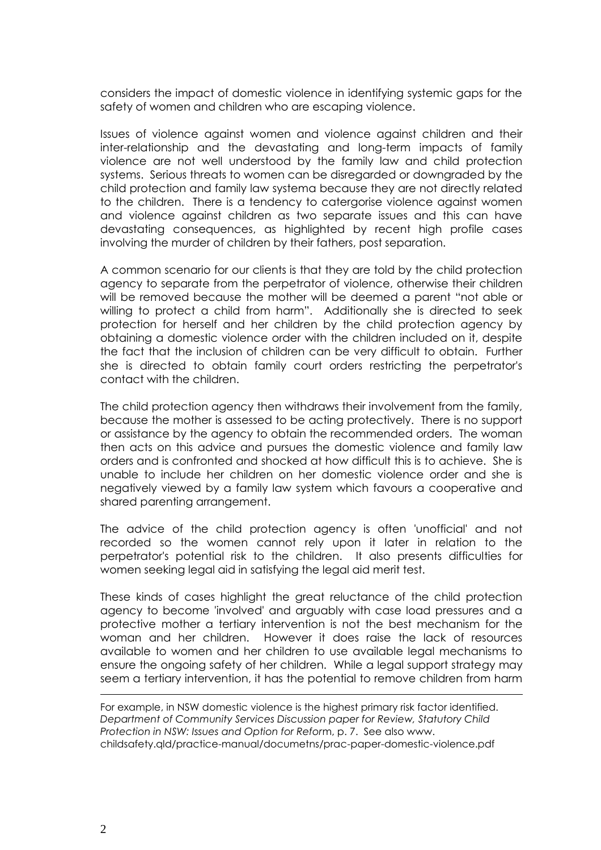considers the impact of domestic violence in identifying systemic gaps for the safety of women and children who are escaping violence.

Issues of violence against women and violence against children and their inter-relationship and the devastating and long-term impacts of family violence are not well understood by the family law and child protection systems. Serious threats to women can be disregarded or downgraded by the child protection and family law systema because they are not directly related to the children. There is a tendency to catergorise violence against women and violence against children as two separate issues and this can have devastating consequences, as highlighted by recent high profile cases involving the murder of children by their fathers, post separation.

A common scenario for our clients is that they are told by the child protection agency to separate from the perpetrator of violence, otherwise their children will be removed because the mother will be deemed a parent "not able or willing to protect a child from harm". Additionally she is directed to seek protection for herself and her children by the child protection agency by obtaining a domestic violence order with the children included on it, despite the fact that the inclusion of children can be very difficult to obtain. Further she is directed to obtain family court orders restricting the perpetrator's contact with the children.

The child protection agency then withdraws their involvement from the family, because the mother is assessed to be acting protectively. There is no support or assistance by the agency to obtain the recommended orders. The woman then acts on this advice and pursues the domestic violence and family law orders and is confronted and shocked at how difficult this is to achieve. She is unable to include her children on her domestic violence order and she is negatively viewed by a family law system which favours a cooperative and shared parenting arrangement.

The advice of the child protection agency is often 'unofficial' and not recorded so the women cannot rely upon it later in relation to the perpetrator's potential risk to the children. It also presents difficulties for women seeking legal aid in satisfying the legal aid merit test.

These kinds of cases highlight the great reluctance of the child protection agency to become 'involved' and arguably with case load pressures and a protective mother a tertiary intervention is not the best mechanism for the woman and her children. However it does raise the lack of resources available to women and her children to use available legal mechanisms to ensure the ongoing safety of her children. While a legal support strategy may seem a tertiary intervention, it has the potential to remove children from harm

For example, in NSW domestic violence is the highest primary risk factor identified. *Department of Community Services Discussion paper for Review, Statutory Child Protection in NSW: Issues and Option for Refor*m, p. 7. See also www. childsafety.qld/practice-manual/documetns/prac-paper-domestic-violence.pdf

 $\overline{a}$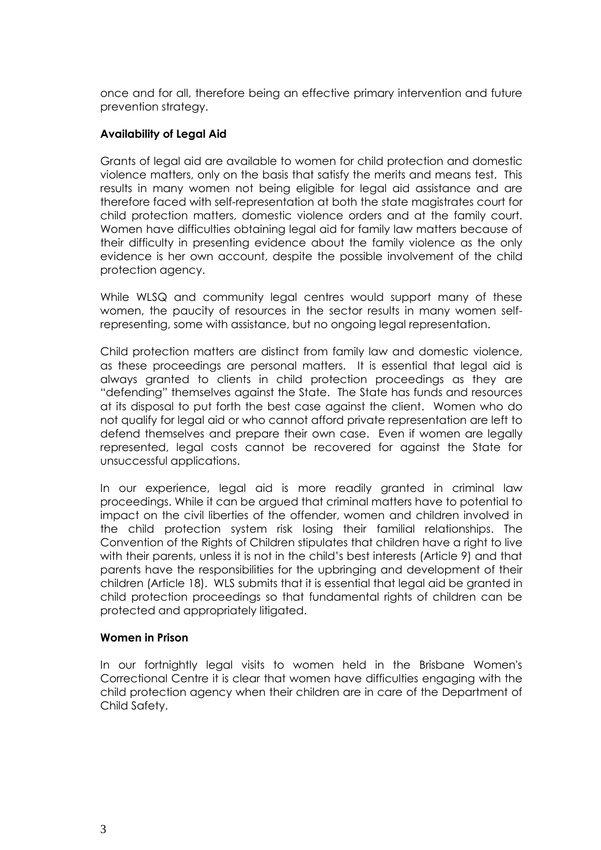once and for all, therefore being an effective primary intervention and future prevention strategy.

# **Availability of Legal Aid**

Grants of legal aid are available to women for child protection and domestic violence matters, only on the basis that satisfy the merits and means test. This results in many women not being eligible for legal aid assistance and are therefore faced with self-representation at both the state magistrates court for child protection matters, domestic violence orders and at the family court. Women have difficulties obtaining legal aid for family law matters because of their difficulty in presenting evidence about the family violence as the only evidence is her own account, despite the possible involvement of the child protection agency.

While WLSQ and community legal centres would support many of these women, the paucity of resources in the sector results in many women selfrepresenting, some with assistance, but no ongoing legal representation.

Child protection matters are distinct from family law and domestic violence, as these proceedings are personal matters. It is essential that legal aid is always granted to clients in child protection proceedings as they are "defending" themselves against the State. The State has funds and resources at its disposal to put forth the best case against the client. Women who do not qualify for legal aid or who cannot afford private representation are left to defend themselves and prepare their own case. Even if women are legally represented, legal costs cannot be recovered for against the State for unsuccessful applications.

In our experience, legal aid is more readily granted in criminal law proceedings. While it can be argued that criminal matters have to potential to impact on the civil liberties of the offender, women and children involved in the child protection system risk losing their familial relationships. The Convention of the Rights of Children stipulates that children have a right to live with their parents, unless it is not in the child's best interests (Article 9) and that parents have the responsibilities for the upbringing and development of their children (Article 18). WLS submits that it is essential that legal aid be granted in child protection proceedings so that fundamental rights of children can be protected and appropriately litigated.

#### **Women in Prison**

In our fortnightly legal visits to women held in the Brisbane Women's Correctional Centre it is clear that women have difficulties engaging with the child protection agency when their children are in care of the Department of Child Safety.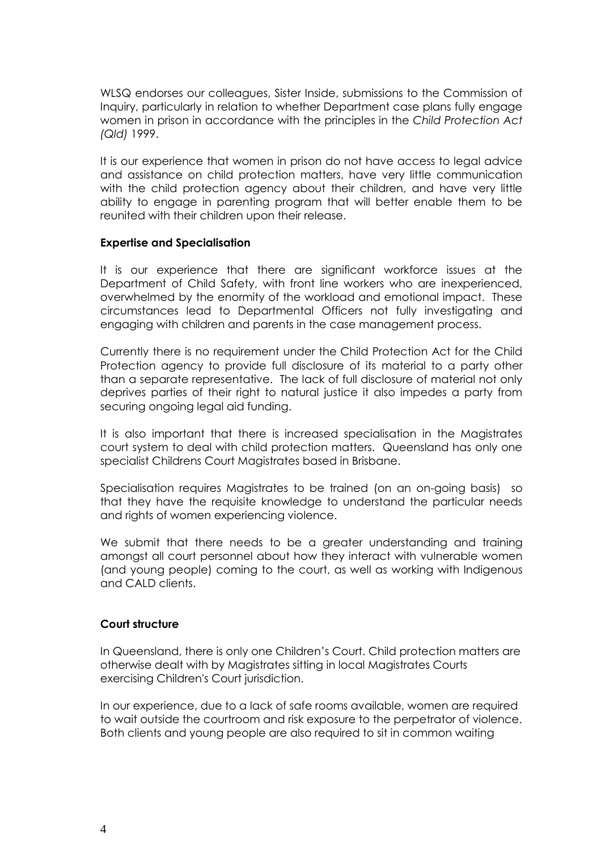WLSQ endorses our colleagues, Sister Inside, submissions to the Commission of Inquiry, particularly in relation to whether Department case plans fully engage women in prison in accordance with the principles in the *Child Protection Act (Qld)* 1999.

It is our experience that women in prison do not have access to legal advice and assistance on child protection matters, have very little communication with the child protection agency about their children, and have very little ability to engage in parenting program that will better enable them to be reunited with their children upon their release.

#### **Expertise and Specialisation**

It is our experience that there are significant workforce issues at the Department of Child Safety, with front line workers who are inexperienced, overwhelmed by the enormity of the workload and emotional impact. These circumstances lead to Departmental Officers not fully investigating and engaging with children and parents in the case management process.

Currently there is no requirement under the Child Protection Act for the Child Protection agency to provide full disclosure of its material to a party other than a separate representative. The lack of full disclosure of material not only deprives parties of their right to natural justice it also impedes a party from securing ongoing legal aid funding.

It is also important that there is increased specialisation in the Magistrates court system to deal with child protection matters. Queensland has only one specialist Childrens Court Magistrates based in Brisbane.

Specialisation requires Magistrates to be trained (on an on-going basis) so that they have the requisite knowledge to understand the particular needs and rights of women experiencing violence.

We submit that there needs to be a greater understanding and training amongst all court personnel about how they interact with vulnerable women (and young people) coming to the court, as well as working with Indigenous and CALD clients.

#### **Court structure**

In Queensland, there is only one Children's Court. Child protection matters are otherwise dealt with by Magistrates sitting in local Magistrates Courts exercising Children's Court jurisdiction.

In our experience, due to a lack of safe rooms available, women are required to wait outside the courtroom and risk exposure to the perpetrator of violence. Both clients and young people are also required to sit in common waiting